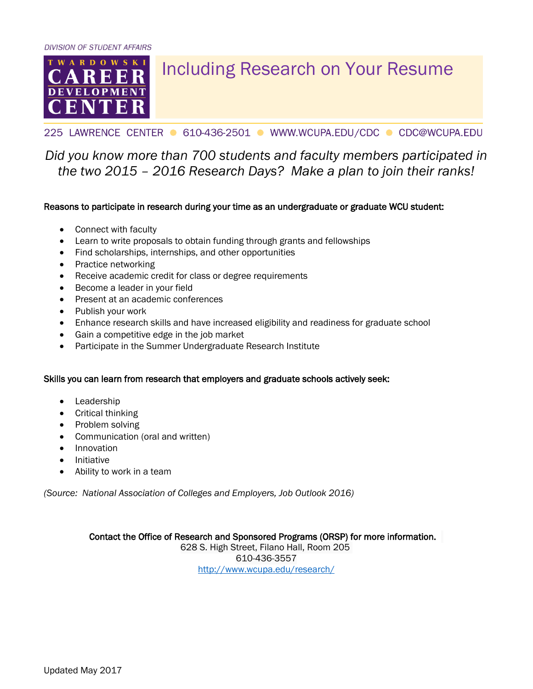

# Including Research on Your Resume

### 225 LAWRENCE CENTER ● 610-436-2501 ● WWW.WCUPA.EDU/CDC ● CDC@WCUPA.EDU

## *Did you know more than 700 students and faculty members participated in the two 2015 – 2016 Research Days? Make a plan to join their ranks!*

#### Reasons to participate in research during your time as an undergraduate or graduate WCU student:

- Connect with faculty
- Learn to write proposals to obtain funding through grants and fellowships
- Find scholarships, internships, and other opportunities
- Practice networking
- Receive academic credit for class or degree requirements
- Become a leader in your field
- Present at an academic conferences
- Publish your work
- Enhance research skills and have increased eligibility and readiness for graduate school
- Gain a competitive edge in the job market
- Participate in the Summer Undergraduate Research Institute

#### Skills you can learn from research that employers and graduate schools actively seek:

- Leadership
- Critical thinking
- Problem solving
- Communication (oral and written)
- Innovation
- Initiative
- Ability to work in a team

*(Source: National Association of Colleges and Employers, Job Outlook 2016)*

Contact the Office of Research and Sponsored Programs (ORSP) for more information.

628 S. High Street, Filano Hall, Room 205 610-436-3557 <http://www.wcupa.edu/research/>